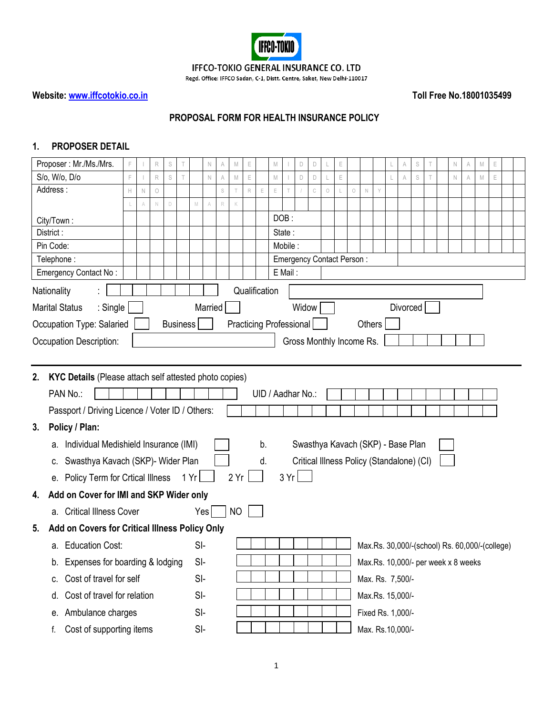

## IFFCO-TOKIO GENERAL INSURANCE CO. LTD

Regd. Office: IFFCO Sadan, C-1, Distt. Centre, Saket, New Delhi-110017

# **Website: [www.iffcotokio.co.in](http://www.iffcotokio.co.in/) Toll Free No.18001035499**

## **PROPOSAL FORM FOR HEALTH INSURANCE POLICY**

# **1. PROPOSER DETAIL**

|    | Proposer: Mr./Ms./Mrs.                                 | F  |   | R           | $\mathbb S$     | Τ |       | $\mathbb N$    | A | $\mathbb M$ | E           |               | M |         | D                                         | $\Box$ |            | E           |            |             |                   | A        | S | Τ | $\mathbb N$ | A                                   | $\mathbb M$                                    | E |  |
|----|--------------------------------------------------------|----|---|-------------|-----------------|---|-------|----------------|---|-------------|-------------|---------------|---|---------|-------------------------------------------|--------|------------|-------------|------------|-------------|-------------------|----------|---|---|-------------|-------------------------------------|------------------------------------------------|---|--|
|    | S/o, W/o, D/o                                          |    |   | R           | S               |   |       | N              | A | M           | E           |               | M |         | D                                         | D      |            | $\mathsf E$ |            |             |                   |          | S |   | $\mathbb N$ |                                     | M                                              | E |  |
|    | Address:                                               | Н. | N | $\bigcirc$  |                 |   |       |                | S | T.          | $\mathsf R$ | E             | E |         |                                           | C      | $\bigcirc$ |             | $\bigcirc$ | $\mathbb N$ | Y                 |          |   |   |             |                                     |                                                |   |  |
|    |                                                        |    | A | $\mathbb N$ | $\mathsf D$     |   | M     | A              | R | K           |             |               |   |         |                                           |        |            |             |            |             |                   |          |   |   |             |                                     |                                                |   |  |
|    | City/Town:                                             |    |   |             |                 |   |       |                |   |             |             |               |   | DOB:    |                                           |        |            |             |            |             |                   |          |   |   |             |                                     |                                                |   |  |
|    | District:                                              |    |   |             |                 |   |       |                |   |             |             |               |   | State:  |                                           |        |            |             |            |             |                   |          |   |   |             |                                     |                                                |   |  |
|    | Pin Code:                                              |    |   |             |                 |   |       |                |   |             |             |               |   | Mobile: |                                           |        |            |             |            |             |                   |          |   |   |             |                                     |                                                |   |  |
|    | Telephone:                                             |    |   |             |                 |   |       |                |   |             |             |               |   |         | Emergency Contact Person:                 |        |            |             |            |             |                   |          |   |   |             |                                     |                                                |   |  |
|    | Emergency Contact No:                                  |    |   |             |                 |   |       |                |   |             |             |               |   | E Mail: |                                           |        |            |             |            |             |                   |          |   |   |             |                                     |                                                |   |  |
|    | Nationality                                            |    |   |             |                 |   |       |                |   |             |             | Qualification |   |         |                                           |        |            |             |            |             |                   |          |   |   |             |                                     |                                                |   |  |
|    | : Single<br><b>Marital Status</b>                      |    |   |             |                 |   |       | <b>Married</b> |   |             |             |               |   |         | Widow                                     |        |            |             |            |             |                   | Divorced |   |   |             |                                     |                                                |   |  |
|    | Occupation Type: Salaried                              |    |   |             | <b>Business</b> |   |       |                |   |             |             |               |   |         | Practicing Professional                   |        |            |             |            | Others      |                   |          |   |   |             |                                     |                                                |   |  |
|    | Occupation Description:                                |    |   |             |                 |   |       |                |   |             |             |               |   |         | Gross Monthly Income Rs.                  |        |            |             |            |             |                   |          |   |   |             |                                     |                                                |   |  |
|    |                                                        |    |   |             |                 |   |       |                |   |             |             |               |   |         |                                           |        |            |             |            |             |                   |          |   |   |             |                                     |                                                |   |  |
| 2. | KYC Details (Please attach self attested photo copies) |    |   |             |                 |   |       |                |   |             |             |               |   |         |                                           |        |            |             |            |             |                   |          |   |   |             |                                     |                                                |   |  |
|    |                                                        |    |   |             |                 |   |       |                |   |             |             |               |   |         |                                           |        |            |             |            |             |                   |          |   |   |             |                                     |                                                |   |  |
|    | PAN No.:                                               |    |   |             |                 |   |       |                |   |             |             |               |   |         | UID / Aadhar No.:                         |        |            |             |            |             |                   |          |   |   |             |                                     |                                                |   |  |
|    | Passport / Driving Licence / Voter ID / Others:        |    |   |             |                 |   |       |                |   |             |             |               |   |         |                                           |        |            |             |            |             |                   |          |   |   |             |                                     |                                                |   |  |
| 3. | Policy / Plan:                                         |    |   |             |                 |   |       |                |   |             |             |               |   |         |                                           |        |            |             |            |             |                   |          |   |   |             |                                     |                                                |   |  |
|    | a. Individual Medishield Insurance (IMI)               |    |   |             |                 |   |       |                |   |             |             | b.            |   |         | Swasthya Kavach (SKP) - Base Plan         |        |            |             |            |             |                   |          |   |   |             |                                     |                                                |   |  |
|    | Swasthya Kavach (SKP)- Wider Plan<br>C.                |    |   |             |                 |   |       |                |   |             |             | d.            |   |         | Critical Illness Policy (Standalone) (CI) |        |            |             |            |             |                   |          |   |   |             |                                     |                                                |   |  |
|    | e. Policy Term for Crtical Illness                     |    |   |             |                 |   | 1 Yr  |                |   | 2 Yr        |             |               |   |         | 3 Yr                                      |        |            |             |            |             |                   |          |   |   |             |                                     |                                                |   |  |
| 4. | Add on Cover for IMI and SKP Wider only                |    |   |             |                 |   |       |                |   |             |             |               |   |         |                                           |        |            |             |            |             |                   |          |   |   |             |                                     |                                                |   |  |
|    | a. Critical Illness Cover                              |    |   |             |                 |   | Yes   |                |   | <b>NO</b>   |             |               |   |         |                                           |        |            |             |            |             |                   |          |   |   |             |                                     |                                                |   |  |
| 5. | Add on Covers for Critical Illness Policy Only         |    |   |             |                 |   |       |                |   |             |             |               |   |         |                                           |        |            |             |            |             |                   |          |   |   |             |                                     |                                                |   |  |
|    | a. Education Cost:                                     |    |   |             |                 |   | $SI-$ |                |   |             |             |               |   |         |                                           |        |            |             |            |             |                   |          |   |   |             |                                     | Max.Rs. 30,000/-(school) Rs. 60,000/-(college) |   |  |
|    | Expenses for boarding & lodging<br>b.                  |    |   |             |                 |   | $SI-$ |                |   |             |             |               |   |         |                                           |        |            |             |            |             |                   |          |   |   |             | Max.Rs. 10,000/- per week x 8 weeks |                                                |   |  |
|    | Cost of travel for self<br>C.                          |    |   |             |                 |   | $SI-$ |                |   |             |             |               |   |         |                                           |        |            |             |            |             | Max. Rs. 7,500/-  |          |   |   |             |                                     |                                                |   |  |
|    | Cost of travel for relation<br>d.                      |    |   |             |                 |   | $SI-$ |                |   |             |             |               |   |         |                                           |        |            |             |            |             | Max.Rs. 15,000/-  |          |   |   |             |                                     |                                                |   |  |
|    | Ambulance charges<br>е.                                |    |   |             |                 |   | $SI-$ |                |   |             |             |               |   |         |                                           |        |            |             |            |             | Fixed Rs. 1,000/- |          |   |   |             |                                     |                                                |   |  |
|    | Cost of supporting items<br>f.                         |    |   |             |                 |   | SI-   |                |   |             |             |               |   |         |                                           |        |            |             |            |             | Max. Rs.10,000/-  |          |   |   |             |                                     |                                                |   |  |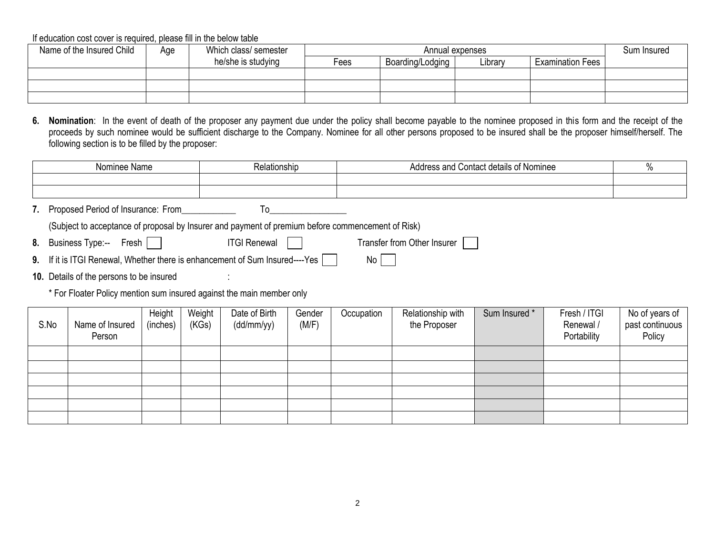| Name of the Insured Child | Age | Which class/ semester |      | Annual expenses  |         |                         |  |  |  |
|---------------------------|-----|-----------------------|------|------------------|---------|-------------------------|--|--|--|
|                           |     | he/she is studying    | -ees | Boarding/Lodging | Library | <b>Examination Fees</b> |  |  |  |
|                           |     |                       |      |                  |         |                         |  |  |  |
|                           |     |                       |      |                  |         |                         |  |  |  |
|                           |     |                       |      |                  |         |                         |  |  |  |

**6. Nomination**: In the event of death of the proposer any payment due under the policy shall become payable to the nominee proposed in this form and the receipt of the proceeds by such nominee would be sufficient discharge to the Company. Nominee for all other persons proposed to be insured shall be the proposer himself/herself. The following section is to be filled by the proposer:

| Nominee<br>Name | ⊀elationship | .<br>' Contact details<br>: Nominee<br>Address and<br>$\cdot$ | . . |
|-----------------|--------------|---------------------------------------------------------------|-----|
|                 |              |                                                               |     |
|                 |              |                                                               |     |

**7.** Proposed Period of Insurance: From To

(Subject to acceptance of proposal by Insurer and payment of premium before commencement of Risk)

- 8. Business Type:-- Fresh ITGI Renewal Transfer from Other Insurer
	-

- **9.** If it is ITGI Renewal, Whether there is enhancement of Sum Insured----Yes  $\Box$  No  $\Box$
- 10. Details of the persons to be insured

\* For Floater Policy mention sum insured against the main member only

| S.No | Name of Insured<br>Person | Height<br>(inches) | Weight<br>(KGs) | Date of Birth<br>(dd/mm/yy) | Gender<br>(M/F) | Occupation | Relationship with<br>the Proposer | Sum Insured * | Fresh / ITGI<br>Renewal /<br>Portability | No of years of<br>past continuous<br>Policy |
|------|---------------------------|--------------------|-----------------|-----------------------------|-----------------|------------|-----------------------------------|---------------|------------------------------------------|---------------------------------------------|
|      |                           |                    |                 |                             |                 |            |                                   |               |                                          |                                             |
|      |                           |                    |                 |                             |                 |            |                                   |               |                                          |                                             |
|      |                           |                    |                 |                             |                 |            |                                   |               |                                          |                                             |
|      |                           |                    |                 |                             |                 |            |                                   |               |                                          |                                             |
|      |                           |                    |                 |                             |                 |            |                                   |               |                                          |                                             |
|      |                           |                    |                 |                             |                 |            |                                   |               |                                          |                                             |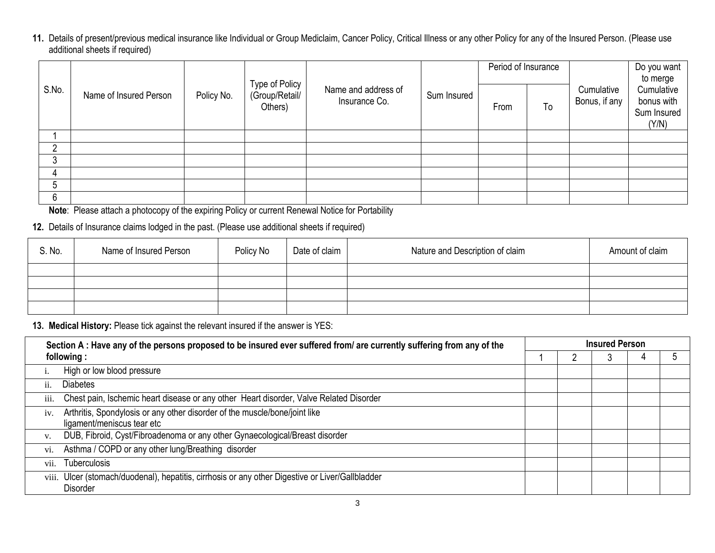**11.** Details of present/previous medical insurance like Individual or Group Mediclaim, Cancer Policy, Critical Illness or any other Policy for any of the Insured Person. (Please use additional sheets if required)

|       |                        |            | Type of Policy<br>(Group/Retail/<br>Others) |                                      | Sum Insured | Period of Insurance |    | Cumulative<br>Bonus, if any | Do you want<br>to merge<br>Cumulative<br>bonus with<br>Sum Insured<br>(Y/N) |  |
|-------|------------------------|------------|---------------------------------------------|--------------------------------------|-------------|---------------------|----|-----------------------------|-----------------------------------------------------------------------------|--|
| S.No. | Name of Insured Person | Policy No. |                                             | Name and address of<br>Insurance Co. |             | From                | To |                             |                                                                             |  |
|       |                        |            |                                             |                                      |             |                     |    |                             |                                                                             |  |
|       |                        |            |                                             |                                      |             |                     |    |                             |                                                                             |  |
|       |                        |            |                                             |                                      |             |                     |    |                             |                                                                             |  |
| 4     |                        |            |                                             |                                      |             |                     |    |                             |                                                                             |  |
|       |                        |            |                                             |                                      |             |                     |    |                             |                                                                             |  |
| 6     |                        |            |                                             |                                      |             |                     |    |                             |                                                                             |  |

**Note**: Please attach a photocopy of the expiring Policy or current Renewal Notice for Portability

# **12.** Details of Insurance claims lodged in the past. (Please use additional sheets if required)

| S. No. | Name of Insured Person | Policy No | Date of claim | Nature and Description of claim | Amount of claim |
|--------|------------------------|-----------|---------------|---------------------------------|-----------------|
|        |                        |           |               |                                 |                 |
|        |                        |           |               |                                 |                 |
|        |                        |           |               |                                 |                 |
|        |                        |           |               |                                 |                 |

**13. Medical History:** Please tick against the relevant insured if the answer is YES:

|      | Section A: Have any of the persons proposed to be insured ever suffered from/ are currently suffering from any of the | <b>Insured Person</b> |  |   |  |  |  |  |  |  |
|------|-----------------------------------------------------------------------------------------------------------------------|-----------------------|--|---|--|--|--|--|--|--|
|      | following:                                                                                                            |                       |  | ъ |  |  |  |  |  |  |
|      | High or low blood pressure                                                                                            |                       |  |   |  |  |  |  |  |  |
| ii.  | <b>Diabetes</b>                                                                                                       |                       |  |   |  |  |  |  |  |  |
| iii. | Chest pain, Ischemic heart disease or any other Heart disorder, Valve Related Disorder                                |                       |  |   |  |  |  |  |  |  |
| iv.  | Arthritis, Spondylosis or any other disorder of the muscle/bone/joint like<br>ligament/meniscus tear etc              |                       |  |   |  |  |  |  |  |  |
| V.   | DUB, Fibroid, Cyst/Fibroadenoma or any other Gynaecological/Breast disorder                                           |                       |  |   |  |  |  |  |  |  |
| vi.  | Asthma / COPD or any other lung/Breathing disorder                                                                    |                       |  |   |  |  |  |  |  |  |
| vii. | <b>Tuberculosis</b>                                                                                                   |                       |  |   |  |  |  |  |  |  |
|      | viii. Ulcer (stomach/duodenal), hepatitis, cirrhosis or any other Digestive or Liver/Gallbladder<br><b>Disorder</b>   |                       |  |   |  |  |  |  |  |  |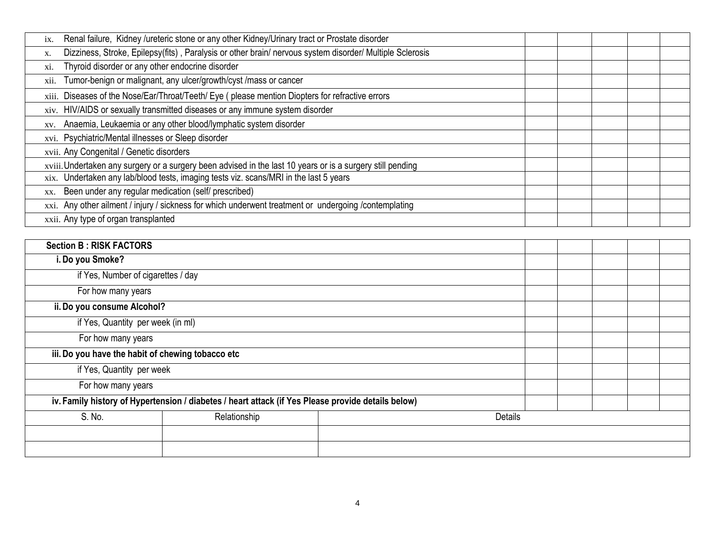| Renal failure, Kidney /ureteric stone or any other Kidney/Urinary tract or Prostate disorder<br>ix.           |  |  |  |  |  |  |
|---------------------------------------------------------------------------------------------------------------|--|--|--|--|--|--|
| Dizziness, Stroke, Epilepsy(fits), Paralysis or other brain/nervous system disorder/ Multiple Sclerosis<br>X. |  |  |  |  |  |  |
| Thyroid disorder or any other endocrine disorder<br>XI.                                                       |  |  |  |  |  |  |
| Tumor-benign or malignant, any ulcer/growth/cyst /mass or cancer<br>X11.                                      |  |  |  |  |  |  |
| xiii. Diseases of the Nose/Ear/Throat/Teeth/ Eye (please mention Diopters for refractive errors               |  |  |  |  |  |  |
| xiv. HIV/AIDS or sexually transmitted diseases or any immune system disorder                                  |  |  |  |  |  |  |
| Anaemia, Leukaemia or any other blood/lymphatic system disorder<br>XV.                                        |  |  |  |  |  |  |
| xvi. Psychiatric/Mental illnesses or Sleep disorder                                                           |  |  |  |  |  |  |
| xvii. Any Congenital / Genetic disorders                                                                      |  |  |  |  |  |  |
| xviii. Undertaken any surgery or a surgery been advised in the last 10 years or is a surgery still pending    |  |  |  |  |  |  |
| xix. Undertaken any lab/blood tests, imaging tests viz. scans/MRI in the last 5 years                         |  |  |  |  |  |  |
| Been under any regular medication (self/ prescribed)<br>XX.                                                   |  |  |  |  |  |  |
| xxi. Any other ailment / injury / sickness for which underwent treatment or undergoing /contemplating         |  |  |  |  |  |  |
| xxii. Any type of organ transplanted                                                                          |  |  |  |  |  |  |

| <b>Section B: RISK FACTORS</b>                    |                                                                                                    |  |  |  |  |  |  |
|---------------------------------------------------|----------------------------------------------------------------------------------------------------|--|--|--|--|--|--|
| i. Do you Smoke?                                  |                                                                                                    |  |  |  |  |  |  |
| if Yes, Number of cigarettes / day                |                                                                                                    |  |  |  |  |  |  |
| For how many years                                |                                                                                                    |  |  |  |  |  |  |
|                                                   | ii. Do you consume Alcohol?                                                                        |  |  |  |  |  |  |
|                                                   | if Yes, Quantity per week (in ml)                                                                  |  |  |  |  |  |  |
| For how many years                                |                                                                                                    |  |  |  |  |  |  |
| iii. Do you have the habit of chewing tobacco etc |                                                                                                    |  |  |  |  |  |  |
| if Yes, Quantity per week                         |                                                                                                    |  |  |  |  |  |  |
| For how many years                                |                                                                                                    |  |  |  |  |  |  |
|                                                   | iv. Family history of Hypertension / diabetes / heart attack (if Yes Please provide details below) |  |  |  |  |  |  |
| S. No.                                            | Relationship<br><b>Details</b>                                                                     |  |  |  |  |  |  |
|                                                   |                                                                                                    |  |  |  |  |  |  |
|                                                   |                                                                                                    |  |  |  |  |  |  |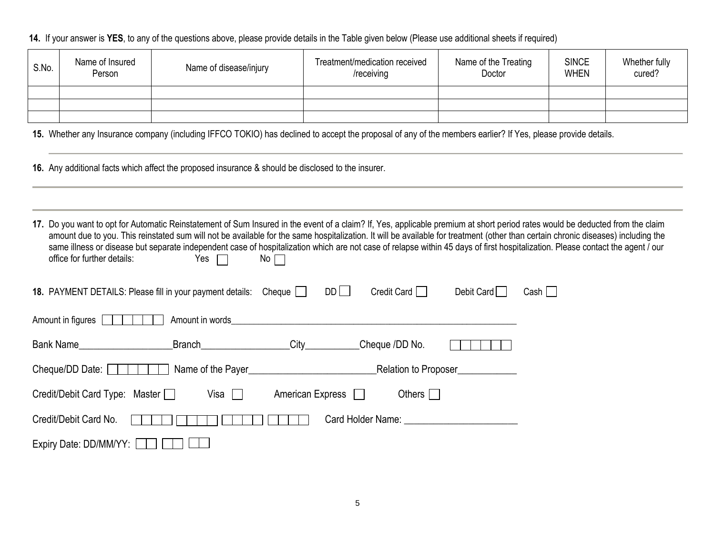**14.** If your answer is **YES**, to any of the questions above, please provide details in the Table given below (Please use additional sheets if required)

| S.No. | Name of Insured<br>Person | Name of disease/injury | Treatment/medication received<br>/receiving | Name of the Treating<br>Doctor | <b>SINCE</b><br><b>WHEN</b> | Whether fully<br>cured? |
|-------|---------------------------|------------------------|---------------------------------------------|--------------------------------|-----------------------------|-------------------------|
|       |                           |                        |                                             |                                |                             |                         |
|       |                           |                        |                                             |                                |                             |                         |
|       |                           |                        |                                             |                                |                             |                         |

**15.** Whether any Insurance company (including IFFCO TOKIO) has declined to accept the proposal of any of the members earlier? If Yes, please provide details.

- **16.** Any additional facts which affect the proposed insurance & should be disclosed to the insurer.
- 17. Do you want to opt for Automatic Reinstatement of Sum Insured in the event of a claim? If, Yes, applicable premium at short period rates would be deducted from the claim amount due to you. This reinstated sum will not be available for the same hospitalization. It will be available for treatment (other than certain chronic diseases) including the same illness or disease but separate independent case of hospitalization which are not case of relapse within 45 days of first hospitalization. Please contact the agent / our office for further details:  $Yes \Box$  No  $\Box$ Yes  $\Box$

| 18. PAYMENT DETAILS: Please fill in your payment details: Cheque |                                                                                                                                                                                                                                |                  | $DD$ $\Box$ | Credit Card                             | Debit Card           | Cash |
|------------------------------------------------------------------|--------------------------------------------------------------------------------------------------------------------------------------------------------------------------------------------------------------------------------|------------------|-------------|-----------------------------------------|----------------------|------|
| Amount in figures                                                | Amount in words and the state of the state of the state of the state of the state of the state of the state of the state of the state of the state of the state of the state of the state of the state of the state of the sta |                  |             |                                         |                      |      |
| <b>Bank Name Example 2014</b>                                    | <b>Branch Example 19</b>                                                                                                                                                                                                       |                  |             | Cheque /DD No.                          |                      |      |
| Cheque/DD Date: $\vert \vert$                                    |                                                                                                                                                                                                                                |                  |             |                                         | Relation to Proposer |      |
| Credit/Debit Card Type: Master                                   | Visa $\Box$                                                                                                                                                                                                                    | American Express |             | Others $\Box$                           |                      |      |
| Credit/Debit Card No.                                            |                                                                                                                                                                                                                                |                  |             | Card Holder Name: The Card Holder Name: |                      |      |
| Expiry Date: DD/MM/YY:                                           |                                                                                                                                                                                                                                |                  |             |                                         |                      |      |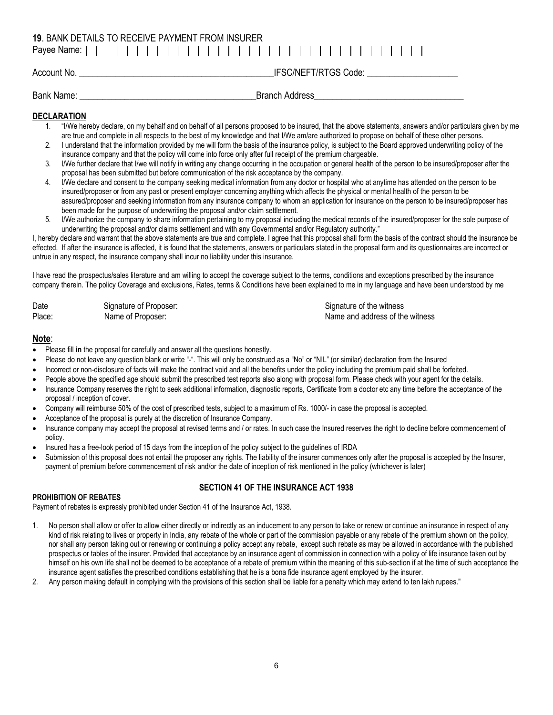|                                     | <b>19. BANK DETAILS TO RECEIVE PAYMENT FROM INSURER</b> |  |  |  |
|-------------------------------------|---------------------------------------------------------|--|--|--|
| Payee Name: $\Box$                  |                                                         |  |  |  |
| Account No.                         | IFSC/NEFT/RTGS Code:                                    |  |  |  |
| Bank Name:<br><b>Branch Address</b> |                                                         |  |  |  |

#### **DECLARATION**

- 1. "I/We hereby declare, on my behalf and on behalf of all persons proposed to be insured, that the above statements, answers and/or particulars given by me are true and complete in all respects to the best of my knowledge and that I/We am/are authorized to propose on behalf of these other persons.
- 2. I understand that the information provided by me will form the basis of the insurance policy, is subject to the Board approved underwriting policy of the insurance company and that the policy will come into force only after full receipt of the premium chargeable.
- 3. I/We further declare that I/we will notify in writing any change occurring in the occupation or general health of the person to be insured/proposer after the proposal has been submitted but before communication of the risk acceptance by the company.
- 4. I/We declare and consent to the company seeking medical information from any doctor or hospital who at anytime has attended on the person to be insured/proposer or from any past or present employer concerning anything which affects the physical or mental health of the person to be assured/proposer and seeking information from any insurance company to whom an application for insurance on the person to be insured/proposer has been made for the purpose of underwriting the proposal and/or claim settlement.
- 5. I/We authorize the company to share information pertaining to my proposal including the medical records of the insured/proposer for the sole purpose of underwriting the proposal and/or claims settlement and with any Governmental and/or Regulatory authority."

I, hereby declare and warrant that the above statements are true and complete. I agree that this proposal shall form the basis of the contract should the insurance be effected. If after the insurance is affected, it is found that the statements, answers or particulars stated in the proposal form and its questionnaires are incorrect or untrue in any respect, the insurance company shall incur no liability under this insurance.

I have read the prospectus/sales literature and am willing to accept the coverage subject to the terms, conditions and exceptions prescribed by the insurance company therein. The policy Coverage and exclusions, Rates, terms & Conditions have been explained to me in my language and have been understood by me

| Date   | Signature of Proposer: | Signature of the witness        |
|--------|------------------------|---------------------------------|
| Place: | Name of Proposer:      | Name and address of the witness |

#### **Note**:

- Please fill **in** the proposal for carefully and answer all the questions honestly.
- Please do not leave any question blank or write "-". This will only be construed as a "No" or "NIL" (or similar) declaration from the Insured
- Incorrect or non-disclosure of facts will make the contract void and all the benefits under the policy including the premium paid shall be forfeited.
- People above the specified age should submit the prescribed test reports also along with proposal form. Please check with your agent for the details.
- Insurance Company reserves the right to seek additional information, diagnostic reports, Certificate from a doctor etc any time before the acceptance of the proposal / inception of cover.
- Company will reimburse 50% of the cost of prescribed tests, subject to a maximum of Rs. 1000/- in case the proposal is accepted.
- Acceptance of the proposal is purely at the discretion of Insurance Company.
- Insurance company may accept the proposal at revised terms and / or rates. In such case the Insured reserves the right to decline before commencement of policy.
- Insured has a free-look period of 15 days from the inception of the policy subject to the guidelines of IRDA
- Submission of this proposal does not entail the proposer any rights. The liability of the insurer commences only after the proposal is accepted by the Insurer, payment of premium before commencement of risk and/or the date of inception of risk mentioned in the policy (whichever is later)

# **SECTION 41 OF THE INSURANCE ACT 1938**

#### **PROHIBITION OF REBATES**

Payment of rebates is expressly prohibited under Section 41 of the Insurance Act, 1938.

- 1. No person shall allow or offer to allow either directly or indirectly as an inducement to any person to take or renew or continue an insurance in respect of any kind of risk relating to lives or property in India, any rebate of the whole or part of the commission payable or any rebate of the premium shown on the policy, nor shall any person taking out or renewing or continuing a policy accept any rebate, except such rebate as may be allowed in accordance with the published prospectus or tables of the insurer. Provided that acceptance by an insurance agent of commission in connection with a policy of life insurance taken out by himself on his own life shall not be deemed to be acceptance of a rebate of premium within the meaning of this sub-section if at the time of such acceptance the insurance agent satisfies the prescribed conditions establishing that he is a bona fide insurance agent employed by the insurer.
- 2. Any person making default in complying with the provisions of this section shall be liable for a penalty which may extend to ten lakh rupees."